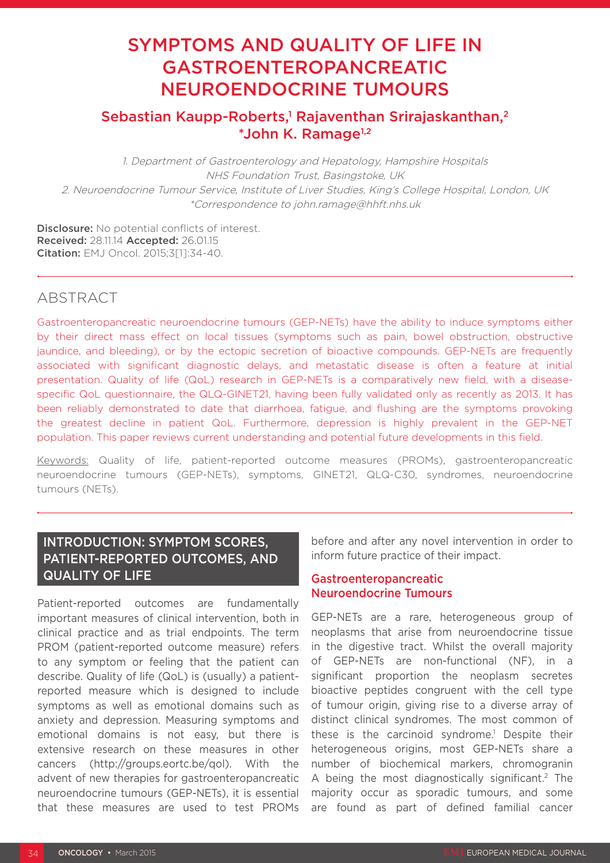# SYMPTOMS AND QUALITY OF LIFE IN GASTROENTEROPANCREATIC NEUROENDOCRINE TUMOURS

# Sebastian Kaupp-Roberts,<sup>1</sup> Rajaventhan Srirajaskanthan,<sup>2</sup>  $*$ John K. Ramage $1,2$

1. Department of Gastroenterology and Hepatology, Hampshire Hospitals NHS Foundation Trust, Basingstoke, UK 2. Neuroendocrine Tumour Service, Institute of Liver Studies, King's College Hospital, London, UK \*Correspondence to john.ramage@hhft.nhs.uk

Disclosure: No potential conflicts of interest. Received: 28.11.14 Accepted: 26.01.15 Citation: EMJ Oncol. 2015;3[1]:34-40.

# **ABSTRACT**

Gastroenteropancreatic neuroendocrine tumours (GEP-NETs) have the ability to induce symptoms either by their direct mass effect on local tissues (symptoms such as pain, bowel obstruction, obstructive jaundice, and bleeding), or by the ectopic secretion of bioactive compounds. GEP-NETs are frequently associated with significant diagnostic delays, and metastatic disease is often a feature at initial presentation. Quality of life (QoL) research in GEP-NETs is a comparatively new field, with a diseasespecific QoL questionnaire, the QLQ-GINET21, having been fully validated only as recently as 2013. It has been reliably demonstrated to date that diarrhoea, fatigue, and flushing are the symptoms provoking the greatest decline in patient QoL. Furthermore, depression is highly prevalent in the GEP-NET population. This paper reviews current understanding and potential future developments in this field.

Keywords: Quality of life, patient-reported outcome measures (PROMs), gastroenteropancreatic neuroendocrine tumours (GEP-NETs), symptoms, GINET21, QLQ-C30, syndromes, neuroendocrine tumours (NETs).

# INTRODUCTION: SYMPTOM SCORES, PATIENT-REPORTED OUTCOMES, AND QUALITY OF LIFE

Patient-reported outcomes are fundamentally important measures of clinical intervention, both in clinical practice and as trial endpoints. The term PROM (patient-reported outcome measure) refers to any symptom or feeling that the patient can describe. Quality of life (QoL) is (usually) a patientreported measure which is designed to include symptoms as well as emotional domains such as anxiety and depression. Measuring symptoms and emotional domains is not easy, but there is extensive research on these measures in other cancers (http://groups.eortc.be/qol). With the advent of new therapies for gastroenteropancreatic neuroendocrine tumours (GEP-NETs), it is essential that these measures are used to test PROMs before and after any novel intervention in order to inform future practice of their impact.

# Gastroenteropancreatic Neuroendocrine Tumours

GEP-NETs are a rare, heterogeneous group of neoplasms that arise from neuroendocrine tissue in the digestive tract. Whilst the overall majority of GEP-NETs are non-functional (NF), in a significant proportion the neoplasm secretes bioactive peptides congruent with the cell type of tumour origin, giving rise to a diverse array of distinct clinical syndromes. The most common of these is the carcinoid syndrome.<sup>1</sup> Despite their heterogeneous origins, most GEP-NETs share a number of biochemical markers, chromogranin A being the most diagnostically significant.<sup>2</sup> The majority occur as sporadic tumours, and some are found as part of defined familial cancer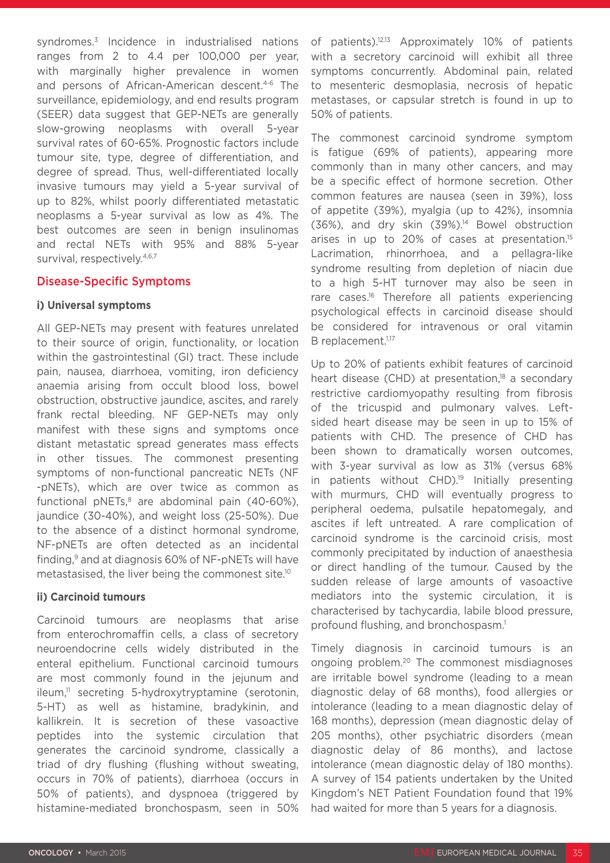syndromes.3 Incidence in industrialised nations ranges from 2 to 4.4 per 100,000 per year, with marginally higher prevalence in women and persons of African-American descent.<sup>4-6</sup> The surveillance, epidemiology, and end results program (SEER) data suggest that GEP-NETs are generally slow-growing neoplasms with overall 5-year survival rates of 60-65%. Prognostic factors include tumour site, type, degree of differentiation, and degree of spread. Thus, well-differentiated locally invasive tumours may yield a 5-year survival of up to 82%, whilst poorly differentiated metastatic neoplasms a 5-year survival as low as 4%. The best outcomes are seen in benign insulinomas and rectal NETs with 95% and 88% 5-year survival, respectively.<sup>4,6,7</sup>

# Disease-Specific Symptoms

#### **i) Universal symptoms**

All GEP-NETs may present with features unrelated to their source of origin, functionality, or location within the gastrointestinal (GI) tract. These include pain, nausea, diarrhoea, vomiting, iron deficiency anaemia arising from occult blood loss, bowel obstruction, obstructive jaundice, ascites, and rarely frank rectal bleeding. NF GEP-NETs may only manifest with these signs and symptoms once distant metastatic spread generates mass effects in other tissues. The commonest presenting symptoms of non-functional pancreatic NETs (NF -pNETs), which are over twice as common as functional pNETs, $8$  are abdominal pain (40-60%), jaundice (30-40%), and weight loss (25-50%). Due to the absence of a distinct hormonal syndrome, NF-pNETs are often detected as an incidental finding,9 and at diagnosis 60% of NF-pNETs will have metastasised, the liver being the commonest site.10

#### **ii) Carcinoid tumours**

Carcinoid tumours are neoplasms that arise from enterochromaffin cells, a class of secretory neuroendocrine cells widely distributed in the enteral epithelium. Functional carcinoid tumours are most commonly found in the jejunum and ileum,<sup>11</sup> secreting 5-hydroxytryptamine (serotonin, 5-HT) as well as histamine, bradykinin, and kallikrein. It is secretion of these vasoactive peptides into the systemic circulation that generates the carcinoid syndrome, classically a triad of dry flushing (flushing without sweating, occurs in 70% of patients), diarrhoea (occurs in 50% of patients), and dyspnoea (triggered by histamine-mediated bronchospasm, seen in 50% of patients).12,13 Approximately 10% of patients with a secretory carcinoid will exhibit all three symptoms concurrently. Abdominal pain, related to mesenteric desmoplasia, necrosis of hepatic metastases, or capsular stretch is found in up to 50% of patients.

The commonest carcinoid syndrome symptom is fatigue (69% of patients), appearing more commonly than in many other cancers, and may be a specific effect of hormone secretion. Other common features are nausea (seen in 39%), loss of appetite (39%), myalgia (up to 42%), insomnia (36%), and dry skin (39%).14 Bowel obstruction arises in up to 20% of cases at presentation.15 Lacrimation, rhinorrhoea, and a pellagra-like syndrome resulting from depletion of niacin due to a high 5-HT turnover may also be seen in rare cases.<sup>16</sup> Therefore all patients experiencing psychological effects in carcinoid disease should be considered for intravenous or oral vitamin B replacement.<sup>1,17</sup>

Up to 20% of patients exhibit features of carcinoid heart disease (CHD) at presentation,<sup>18</sup> a secondary restrictive cardiomyopathy resulting from fibrosis of the tricuspid and pulmonary valves. Leftsided heart disease may be seen in up to 15% of patients with CHD. The presence of CHD has been shown to dramatically worsen outcomes, with 3-year survival as low as 31% (versus 68% in patients without  $CHD$ <sup>19</sup> Initially presenting with murmurs, CHD will eventually progress to peripheral oedema, pulsatile hepatomegaly, and ascites if left untreated. A rare complication of carcinoid syndrome is the carcinoid crisis, most commonly precipitated by induction of anaesthesia or direct handling of the tumour. Caused by the sudden release of large amounts of vasoactive mediators into the systemic circulation, it is characterised by tachycardia, labile blood pressure, profound flushing, and bronchospasm.<sup>1</sup>

Timely diagnosis in carcinoid tumours is an ongoing problem.20 The commonest misdiagnoses are irritable bowel syndrome (leading to a mean diagnostic delay of 68 months), food allergies or intolerance (leading to a mean diagnostic delay of 168 months), depression (mean diagnostic delay of 205 months), other psychiatric disorders (mean diagnostic delay of 86 months), and lactose intolerance (mean diagnostic delay of 180 months). A survey of 154 patients undertaken by the United Kingdom's NET Patient Foundation found that 19% had waited for more than 5 years for a diagnosis.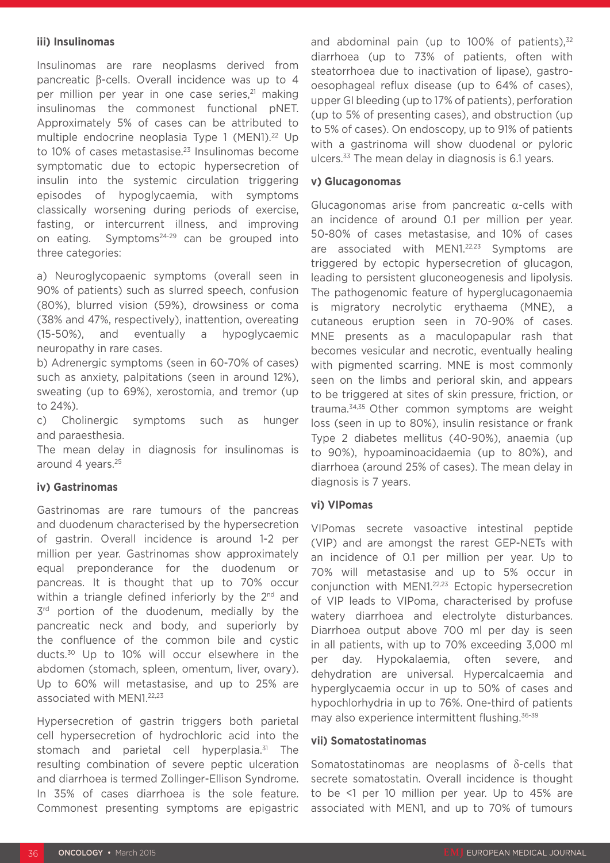## **iii) Insulinomas**

Insulinomas are rare neoplasms derived from pancreatic β-cells. Overall incidence was up to 4 per million per year in one case series,<sup>21</sup> making insulinomas the commonest functional pNET. Approximately 5% of cases can be attributed to multiple endocrine neoplasia Type 1 (MEN1).<sup>22</sup> Up to 10% of cases metastasise.<sup>23</sup> Insulinomas become symptomatic due to ectopic hypersecretion of insulin into the systemic circulation triggering episodes of hypoglycaemia, with symptoms classically worsening during periods of exercise, fasting, or intercurrent illness, and improving on eating. Symptoms<sup>24-29</sup> can be grouped into three categories:

a) Neuroglycopaenic symptoms (overall seen in 90% of patients) such as slurred speech, confusion (80%), blurred vision (59%), drowsiness or coma (38% and 47%, respectively), inattention, overeating (15-50%), and eventually a hypoglycaemic neuropathy in rare cases.

b) Adrenergic symptoms (seen in 60-70% of cases) such as anxiety, palpitations (seen in around 12%), sweating (up to 69%), xerostomia, and tremor (up to 24%).

c) Cholinergic symptoms such as hunger and paraesthesia.

The mean delay in diagnosis for insulinomas is around 4 years.<sup>25</sup>

# **iv) Gastrinomas**

Gastrinomas are rare tumours of the pancreas and duodenum characterised by the hypersecretion of gastrin. Overall incidence is around 1-2 per million per year. Gastrinomas show approximately equal preponderance for the duodenum or pancreas. It is thought that up to 70% occur within a triangle defined inferiorly by the  $2^{nd}$  and  $3<sup>rd</sup>$  portion of the duodenum, medially by the pancreatic neck and body, and superiorly by the confluence of the common bile and cystic ducts.30 Up to 10% will occur elsewhere in the abdomen (stomach, spleen, omentum, liver, ovary). Up to 60% will metastasise, and up to 25% are associated with MEN1.<sup>22,23</sup>

Hypersecretion of gastrin triggers both parietal cell hypersecretion of hydrochloric acid into the stomach and parietal cell hyperplasia.<sup>31</sup> The resulting combination of severe peptic ulceration and diarrhoea is termed Zollinger-Ellison Syndrome. In 35% of cases diarrhoea is the sole feature. Commonest presenting symptoms are epigastric and abdominal pain (up to  $100\%$  of patients), $32$ diarrhoea (up to 73% of patients, often with steatorrhoea due to inactivation of lipase), gastrooesophageal reflux disease (up to 64% of cases), upper GI bleeding (up to 17% of patients), perforation (up to 5% of presenting cases), and obstruction (up to 5% of cases). On endoscopy, up to 91% of patients with a gastrinoma will show duodenal or pyloric ulcers.33 The mean delay in diagnosis is 6.1 years.

## **v) Glucagonomas**

Glucagonomas arise from pancreatic α-cells with an incidence of around 0.1 per million per year. 50-80% of cases metastasise, and 10% of cases are associated with MEN1.<sup>22,23</sup> Symptoms are triggered by ectopic hypersecretion of glucagon, leading to persistent gluconeogenesis and lipolysis. The pathogenomic feature of hyperglucagonaemia is migratory necrolytic erythaema (MNE), a cutaneous eruption seen in 70-90% of cases. MNE presents as a maculopapular rash that becomes vesicular and necrotic, eventually healing with pigmented scarring. MNE is most commonly seen on the limbs and perioral skin, and appears to be triggered at sites of skin pressure, friction, or trauma.34,35 Other common symptoms are weight loss (seen in up to 80%), insulin resistance or frank Type 2 diabetes mellitus (40-90%), anaemia (up to 90%), hypoaminoacidaemia (up to 80%), and diarrhoea (around 25% of cases). The mean delay in diagnosis is 7 years.

#### **vi) VIPomas**

VIPomas secrete vasoactive intestinal peptide (VIP) and are amongst the rarest GEP-NETs with an incidence of 0.1 per million per year. Up to 70% will metastasise and up to 5% occur in conjunction with MEN1.22,23 Ectopic hypersecretion of VIP leads to VIPoma, characterised by profuse watery diarrhoea and electrolyte disturbances. Diarrhoea output above 700 ml per day is seen in all patients, with up to 70% exceeding 3,000 ml per day. Hypokalaemia, often severe, and dehydration are universal. Hypercalcaemia and hyperglycaemia occur in up to 50% of cases and hypochlorhydria in up to 76%. One-third of patients may also experience intermittent flushing.<sup>36-39</sup>

#### **vii) Somatostatinomas**

Somatostatinomas are neoplasms of δ-cells that secrete somatostatin. Overall incidence is thought to be <1 per 10 million per year. Up to 45% are associated with MEN1, and up to 70% of tumours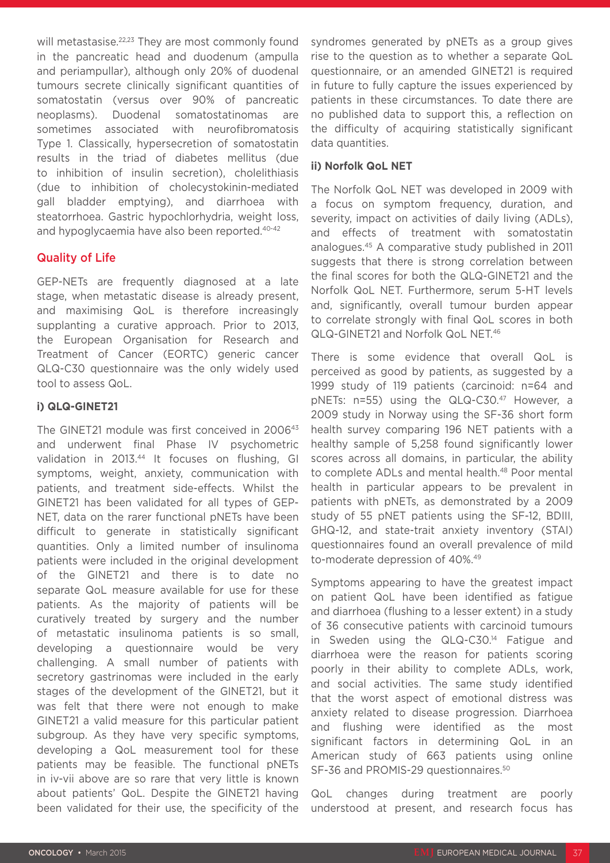will metastasise.<sup>22,23</sup> They are most commonly found in the pancreatic head and duodenum (ampulla and periampullar), although only 20% of duodenal tumours secrete clinically significant quantities of somatostatin (versus over 90% of pancreatic neoplasms). Duodenal somatostatinomas are sometimes associated with neurofibromatosis Type 1. Classically, hypersecretion of somatostatin results in the triad of diabetes mellitus (due to inhibition of insulin secretion), cholelithiasis (due to inhibition of cholecystokinin-mediated gall bladder emptying), and diarrhoea with steatorrhoea. Gastric hypochlorhydria, weight loss, and hypoglycaemia have also been reported.40-42

# Quality of Life

GEP-NETs are frequently diagnosed at a late stage, when metastatic disease is already present, and maximising QoL is therefore increasingly supplanting a curative approach. Prior to 2013, the European Organisation for Research and Treatment of Cancer (EORTC) generic cancer QLQ-C30 questionnaire was the only widely used tool to assess QoL.

# **i) QLQ-GINET21**

The GINET21 module was first conceived in 2006<sup>43</sup> and underwent final Phase IV psychometric validation in 2013.44 It focuses on flushing, GI symptoms, weight, anxiety, communication with patients, and treatment side-effects. Whilst the GINET21 has been validated for all types of GEP-NET, data on the rarer functional pNETs have been difficult to generate in statistically significant quantities. Only a limited number of insulinoma patients were included in the original development of the GINET21 and there is to date no separate QoL measure available for use for these patients. As the majority of patients will be curatively treated by surgery and the number of metastatic insulinoma patients is so small, developing a questionnaire would be very challenging. A small number of patients with secretory gastrinomas were included in the early stages of the development of the GINET21, but it was felt that there were not enough to make GINET21 a valid measure for this particular patient subgroup. As they have very specific symptoms, developing a QoL measurement tool for these patients may be feasible. The functional pNETs in iv-vii above are so rare that very little is known about patients' QoL. Despite the GINET21 having been validated for their use, the specificity of the

syndromes generated by pNETs as a group gives rise to the question as to whether a separate QoL questionnaire, or an amended GINET21 is required in future to fully capture the issues experienced by patients in these circumstances. To date there are no published data to support this, a reflection on the difficulty of acquiring statistically significant data quantities.

# **ii) Norfolk QoL NET**

The Norfolk QoL NET was developed in 2009 with a focus on symptom frequency, duration, and severity, impact on activities of daily living (ADLs), and effects of treatment with somatostatin analogues.45 A comparative study published in 2011 suggests that there is strong correlation between the final scores for both the QLQ-GINET21 and the Norfolk QoL NET. Furthermore, serum 5-HT levels and, significantly, overall tumour burden appear to correlate strongly with final QoL scores in both QLQ-GINET21 and Norfolk QoL NET.46

There is some evidence that overall QoL is perceived as good by patients, as suggested by a 1999 study of 119 patients (carcinoid: n=64 and pNETs: n=55) using the QLQ-C30.<sup>47</sup> However, a 2009 study in Norway using the SF-36 short form health survey comparing 196 NET patients with a healthy sample of 5,258 found significantly lower scores across all domains, in particular, the ability to complete ADLs and mental health.<sup>48</sup> Poor mental health in particular appears to be prevalent in patients with pNETs, as demonstrated by a 2009 study of 55 pNET patients using the SF-12, BDIII, GHQ-12, and state-trait anxiety inventory (STAI) questionnaires found an overall prevalence of mild to-moderate depression of 40%.<sup>49</sup>

Symptoms appearing to have the greatest impact on patient QoL have been identified as fatigue and diarrhoea (flushing to a lesser extent) in a study of 36 consecutive patients with carcinoid tumours in Sweden using the QLQ-C30.14 Fatigue and diarrhoea were the reason for patients scoring poorly in their ability to complete ADLs, work, and social activities. The same study identified that the worst aspect of emotional distress was anxiety related to disease progression. Diarrhoea and flushing were identified as the most significant factors in determining QoL in an American study of 663 patients using online SF-36 and PROMIS-29 questionnaires.<sup>50</sup>

QoL changes during treatment are poorly understood at present, and research focus has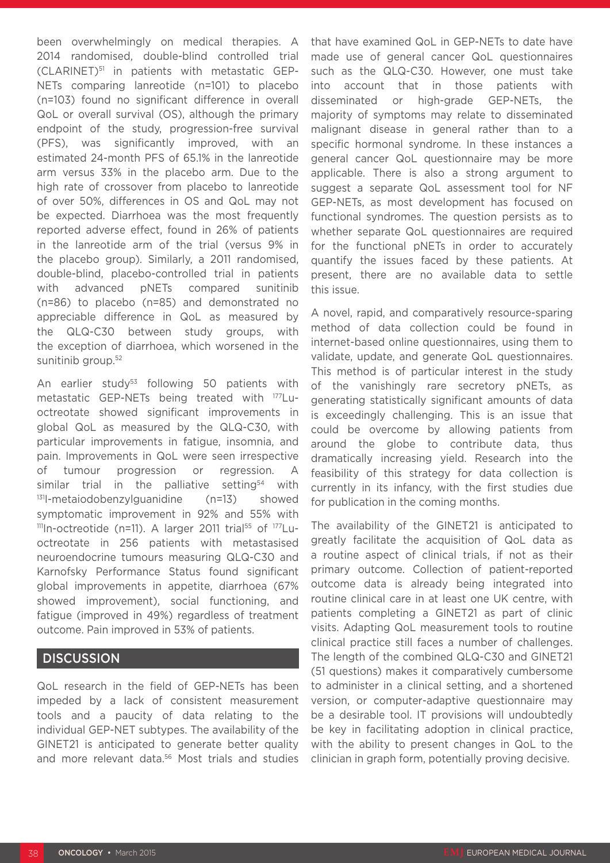been overwhelmingly on medical therapies. A 2014 randomised, double-blind controlled trial (CLARINET)51 in patients with metastatic GEP-NETs comparing lanreotide (n=101) to placebo (n=103) found no significant difference in overall QoL or overall survival (OS), although the primary endpoint of the study, progression-free survival (PFS), was significantly improved, with an estimated 24-month PFS of 65.1% in the lanreotide arm versus 33% in the placebo arm. Due to the high rate of crossover from placebo to lanreotide of over 50%, differences in OS and QoL may not be expected. Diarrhoea was the most frequently reported adverse effect, found in 26% of patients in the lanreotide arm of the trial (versus 9% in the placebo group). Similarly, a 2011 randomised, double-blind, placebo-controlled trial in patients with advanced pNETs compared sunitinib (n=86) to placebo (n=85) and demonstrated no appreciable difference in QoL as measured by the QLQ-C30 between study groups, with the exception of diarrhoea, which worsened in the sunitinib group.<sup>52</sup>

An earlier study<sup>53</sup> following 50 patients with metastatic GEP-NETs being treated with 177Luoctreotate showed significant improvements in global QoL as measured by the QLQ-C30, with particular improvements in fatigue, insomnia, and pain. Improvements in QoL were seen irrespective of tumour progression or regression. A similar trial in the palliative setting<sup>54</sup> with 131I-metaiodobenzylguanidine (n=13) showed symptomatic improvement in 92% and 55% with 111In-octreotide (n=11). A larger 2011 trial<sup>55</sup> of <sup>177</sup>Luoctreotate in 256 patients with metastasised neuroendocrine tumours measuring QLQ-C30 and Karnofsky Performance Status found significant global improvements in appetite, diarrhoea (67% showed improvement), social functioning, and fatigue (improved in 49%) regardless of treatment outcome. Pain improved in 53% of patients.

# **DISCUSSION**

QoL research in the field of GEP-NETs has been impeded by a lack of consistent measurement tools and a paucity of data relating to the individual GEP-NET subtypes. The availability of the GINET21 is anticipated to generate better quality and more relevant data.<sup>56</sup> Most trials and studies

that have examined QoL in GEP-NETs to date have made use of general cancer QoL questionnaires such as the QLQ-C30. However, one must take into account that in those patients with disseminated or high-grade GEP-NETs, the majority of symptoms may relate to disseminated malignant disease in general rather than to a specific hormonal syndrome. In these instances a general cancer QoL questionnaire may be more applicable. There is also a strong argument to suggest a separate QoL assessment tool for NF GEP-NETs, as most development has focused on functional syndromes. The question persists as to whether separate QoL questionnaires are required for the functional pNETs in order to accurately quantify the issues faced by these patients. At present, there are no available data to settle this issue.

A novel, rapid, and comparatively resource-sparing method of data collection could be found in internet-based online questionnaires, using them to validate, update, and generate QoL questionnaires. This method is of particular interest in the study of the vanishingly rare secretory pNETs, as generating statistically significant amounts of data is exceedingly challenging. This is an issue that could be overcome by allowing patients from around the globe to contribute data, thus dramatically increasing yield. Research into the feasibility of this strategy for data collection is currently in its infancy, with the first studies due for publication in the coming months.

The availability of the GINET21 is anticipated to greatly facilitate the acquisition of QoL data as a routine aspect of clinical trials, if not as their primary outcome. Collection of patient-reported outcome data is already being integrated into routine clinical care in at least one UK centre, with patients completing a GINET21 as part of clinic visits. Adapting QoL measurement tools to routine clinical practice still faces a number of challenges. The length of the combined QLQ-C30 and GINET21 (51 questions) makes it comparatively cumbersome to administer in a clinical setting, and a shortened version, or computer-adaptive questionnaire may be a desirable tool. IT provisions will undoubtedly be key in facilitating adoption in clinical practice, with the ability to present changes in QoL to the clinician in graph form, potentially proving decisive.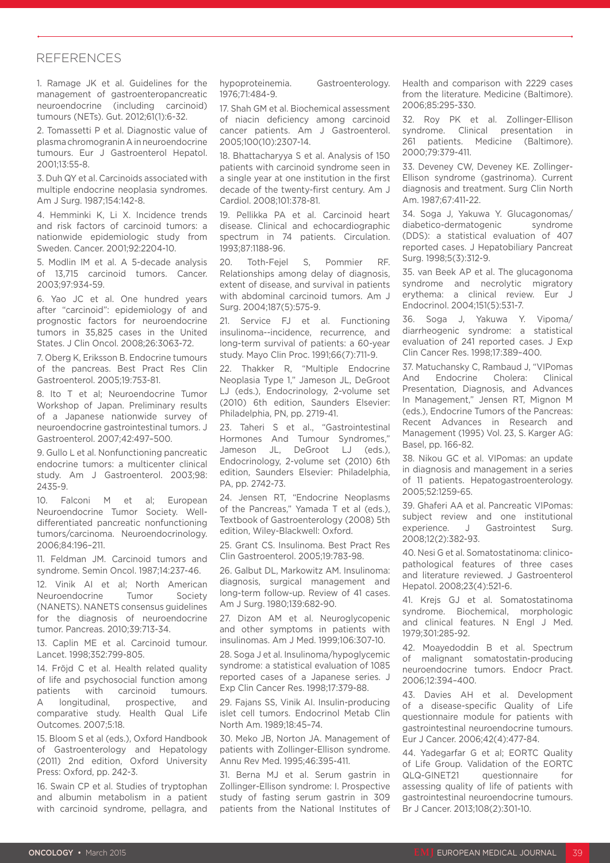## **REFERENCES**

1. Ramage JK et al. Guidelines for the management of gastroenteropancreatic neuroendocrine (including carcinoid) tumours (NETs). Gut. 2012;61(1):6-32.

2. Tomassetti P et al. Diagnostic value of plasma chromogranin A in neuroendocrine tumours. Eur J Gastroenterol Hepatol. 2001;13:55-8.

3. Duh QY et al. Carcinoids associated with multiple endocrine neoplasia syndromes. Am J Surg. 1987;154:142-8.

4. Hemminki K, Li X. Incidence trends and risk factors of carcinoid tumors: a nationwide epidemiologic study from Sweden. Cancer. 2001;92:2204-10.

5. Modlin IM et al. A 5-decade analysis of 13,715 carcinoid tumors. Cancer. 2003;97:934-59.

6. Yao JC et al. One hundred years after "carcinoid": epidemiology of and prognostic factors for neuroendocrine tumors in 35,825 cases in the United States. J Clin Oncol. 2008;26:3063-72.

7. Oberg K, Eriksson B. Endocrine tumours of the pancreas. Best Pract Res Clin Gastroenterol. 2005;19:753-81.

8. Ito T et al; Neuroendocrine Tumor Workshop of Japan. Preliminary results of a Japanese nationwide survey of neuroendocrine gastrointestinal tumors. J Gastroenterol. 2007;42:497–500.

9. Gullo L et al. Nonfunctioning pancreatic endocrine tumors: a multicenter clinical study. Am J Gastroenterol. 2003;98: 2435-9.

10. Falconi M et al; European Neuroendocrine Tumor Society. Welldifferentiated pancreatic nonfunctioning tumors/carcinoma. Neuroendocrinology. 2006;84:196–211.

11. Feldman JM. Carcinoid tumors and syndrome. Semin Oncol. 1987;14:237-46.

12. Vinik AI et al; North American<br>Neuroendocrine Tumor Society Neuroendocrine Tumor Society (NANETS). NANETS consensus guidelines for the diagnosis of neuroendocrine tumor. Pancreas. 2010;39:713-34.

13. Caplin ME et al. Carcinoid tumour. Lancet. 1998;352:799-805.

14. Fröid C et al. Health related quality of life and psychosocial function among<br>patients with carcinoid tumours. carcinoid tumours. A longitudinal, prospective, and comparative study. Health Qual Life Outcomes. 2007;5:18.

15. Bloom S et al (eds.), Oxford Handbook of Gastroenterology and Hepatology (2011) 2nd edition, Oxford University Press: Oxford, pp. 242-3.

16. Swain CP et al. Studies of tryptophan and albumin metabolism in a patient with carcinoid syndrome, pellagra, and

hypoproteinemia. Gastroenterology. 1976;71:484-9.

17. Shah GM et al. Biochemical assessment of niacin deficiency among carcinoid cancer patients. Am J Gastroenterol. 2005;100(10):2307-14.

18. Bhattacharyya S et al. Analysis of 150 patients with carcinoid syndrome seen in a single year at one institution in the first decade of the twenty-first century. Am J Cardiol. 2008;101:378-81.

19. Pellikka PA et al. Carcinoid heart disease. Clinical and echocardiographic spectrum in 74 patients. Circulation. 1993;87:1188-96.

20. Toth-Fejel S, Pommier RF. Relationships among delay of diagnosis, extent of disease, and survival in patients with abdominal carcinoid tumors. Am J Surg. 2004;187(5):575-9.

21. Service FJ et al. Functioning insulinoma--incidence, recurrence, and long-term survival of patients: a 60-year study. Mayo Clin Proc. 1991;66(7):711-9.

22. Thakker R, "Multiple Endocrine Neoplasia Type 1," Jameson JL, DeGroot LJ (eds.), Endocrinology, 2-volume set (2010) 6th edition, Saunders Elsevier: Philadelphia, PN, pp. 2719-41.

23. Taheri S et al., "Gastrointestinal Hormones And Tumour Syndromes," Jameson JL, DeGroot LJ (eds.), Endocrinology, 2-volume set (2010) 6th edition, Saunders Elsevier: Philadelphia, PA, pp. 2742-73.

24. Jensen RT, "Endocrine Neoplasms of the Pancreas," Yamada T et al (eds.), Textbook of Gastroenterology (2008) 5th edition, Wiley-Blackwell: Oxford.

25. Grant CS. Insulinoma. Best Pract Res Clin Gastroenterol. 2005;19:783-98.

26. Galbut DL, Markowitz AM. Insulinoma: diagnosis, surgical management and long-term follow-up. Review of 41 cases. Am J Surg. 1980;139:682-90.

27. Dizon AM et al. Neuroglycopenic and other symptoms in patients with insulinomas. Am J Med. 1999;106:307-10.

28. Soga J et al. Insulinoma/hypoglycemic syndrome: a statistical evaluation of 1085 reported cases of a Japanese series. J Exp Clin Cancer Res. 1998;17:379-88.

29. Fajans SS, Vinik AI. Insulin-producing islet cell tumors. Endocrinol Metab Clin North Am. 1989;18:45–74.

30. Meko JB, Norton JA. Management of patients with Zollinger-Ellison syndrome. Annu Rev Med. 1995;46:395-411.

31. Berna MJ et al. Serum gastrin in Zollinger-Ellison syndrome: I. Prospective study of fasting serum gastrin in 309 patients from the National Institutes of Health and comparison with 2229 cases from the literature. Medicine (Baltimore). 2006;85:295-330.

32. Roy PK et al. Zollinger-Ellison syndrome. Clinical presentation in 261 patients. Medicine (Baltimore). 2000;79:379-411.

33. Deveney CW, Deveney KE. Zollinger-Ellison syndrome (gastrinoma). Current diagnosis and treatment. Surg Clin North Am. 1987;67:411-22.

34. Soga J, Yakuwa Y. Glucagonomas/ diabetico-dermatogenic syndrome (DDS): a statistical evaluation of 407 reported cases. J Hepatobiliary Pancreat Surg. 1998;5(3):312-9.

35. van Beek AP et al. The glucagonoma syndrome and necrolytic migratory erythema: a clinical review. Eur J Endocrinol. 2004;151(5):531-7.

36. Soga J, Yakuwa Y. Vipoma/ diarrheogenic syndrome: a statistical evaluation of 241 reported cases. J Exp Clin Cancer Res. 1998;17:389–400.

37. Matuchansky C, Rambaud J, "VIPomas And Endocrine Cholera: Clinical Presentation, Diagnosis, and Advances In Management," Jensen RT, Mignon M (eds.), Endocrine Tumors of the Pancreas: Recent Advances in Research and Management (1995) Vol. 23, S. Karger AG: Basel, pp. 166-82.

38. Nikou GC et al. VIPomas: an update in diagnosis and management in a series of 11 patients. Hepatogastroenterology. 2005;52:1259-65.

39. Ghaferi AA et al. Pancreatic VIPomas: subject review and one institutional experience. J Gastrointest Surg. 2008;12(2):382-93.

40. Nesi G et al. Somatostatinoma: clinicopathological features of three cases and literature reviewed. J Gastroenterol Hepatol. 2008;23(4):521-6.

41. Krejs GJ et al. Somatostatinoma syndrome. Biochemical, morphologic and clinical features. N Engl J Med. 1979;301:285-92.

42. Moayedoddin B et al. Spectrum of malignant somatostatin-producing neuroendocrine tumors. Endocr Pract. 2006;12:394–400.

43. Davies AH et al. Development of a disease-specific Quality of Life questionnaire module for patients with gastrointestinal neuroendocrine tumours. Eur J Cancer. 2006;42(4):477-84.

44. Yadegarfar G et al; EORTC Quality of Life Group. Validation of the EORTC QLQ-GINET21 questionnaire for assessing quality of life of patients with gastrointestinal neuroendocrine tumours. Br J Cancer. 2013;108(2):301-10.